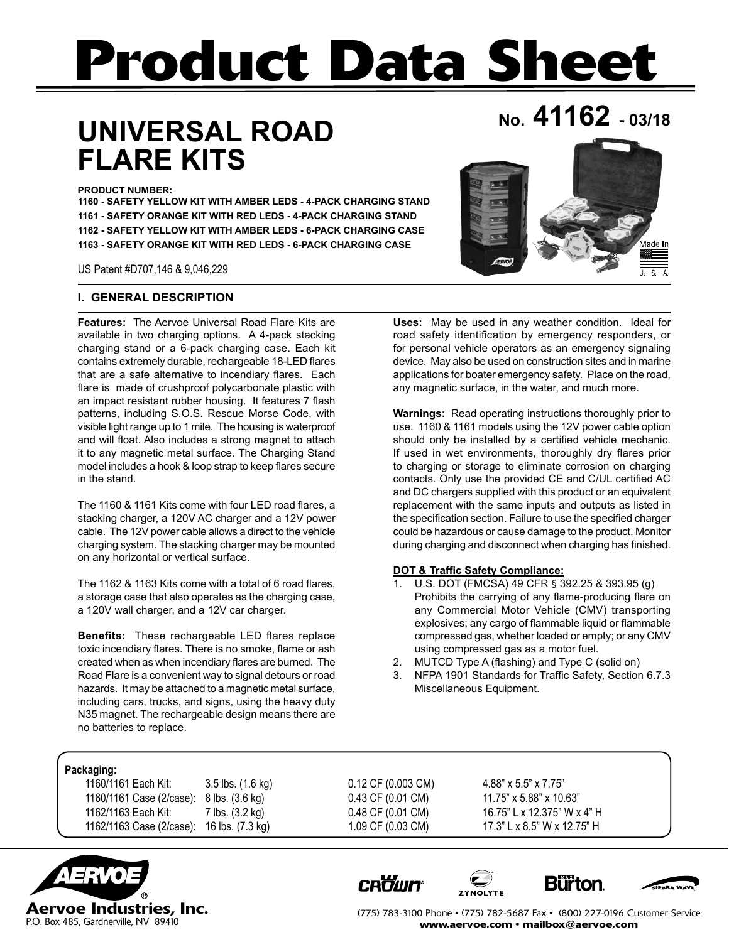# **Product Data Sheet**

# **No. 41162 - 03/18 UNIVERSAL ROAD FLARE KITS**

**PRODUCT NUMBER:** 

**1160 - SAFETY YELLOW KIT WITH AMBER LEDS - 4-PACK CHARGING STAND 1161 - SAFETY ORANGE KIT WITH RED LEDS - 4-PACK CHARGING STAND 1162 - SAFETY YELLOW KIT WITH AMBER LEDS - 6-PACK CHARGING CASE 1163 - SAFETY ORANGE KIT WITH RED LEDS - 6-PACK CHARGING CASE**

US Patent #D707,146 & 9,046,229

## **I. GENERAL DESCRIPTION**

**Features:** The Aervoe Universal Road Flare Kits are available in two charging options. A 4-pack stacking charging stand or a 6-pack charging case. Each kit contains extremely durable, rechargeable 18-LED flares that are a safe alternative to incendiary flares. Each flare is made of crushproof polycarbonate plastic with an impact resistant rubber housing. It features 7 flash patterns, including S.O.S. Rescue Morse Code, with visible light range up to 1 mile. The housing is waterproof and will float. Also includes a strong magnet to attach it to any magnetic metal surface. The Charging Stand model includes a hook & loop strap to keep flares secure in the stand.

The 1160 & 1161 Kits come with four LED road flares, a stacking charger, a 120V AC charger and a 12V power cable. The 12V power cable allows a direct to the vehicle charging system. The stacking charger may be mounted on any horizontal or vertical surface.

The 1162 & 1163 Kits come with a total of 6 road flares, a storage case that also operates as the charging case, a 120V wall charger, and a 12V car charger.

**Benefits:** These rechargeable LED flares replace toxic incendiary flares. There is no smoke, flame or ash created when as when incendiary flares are burned. The Road Flare is a convenient way to signal detours or road hazards. It may be attached to a magnetic metal surface, including cars, trucks, and signs, using the heavy duty N35 magnet. The rechargeable design means there are no batteries to replace.

**Uses:** May be used in any weather condition. Ideal for road safety identification by emergency responders, or for personal vehicle operators as an emergency signaling device. May also be used on construction sites and in marine applications for boater emergency safety. Place on the road, any magnetic surface, in the water, and much more.

**Warnings:** Read operating instructions thoroughly prior to use. 1160 & 1161 models using the 12V power cable option should only be installed by a certified vehicle mechanic. If used in wet environments, thoroughly dry flares prior to charging or storage to eliminate corrosion on charging contacts. Only use the provided CE and C/UL certified AC and DC chargers supplied with this product or an equivalent replacement with the same inputs and outputs as listed in the specification section. Failure to use the specified charger could be hazardous or cause damage to the product. Monitor during charging and disconnect when charging has finished.

#### **DOT & Traffic Safety Compliance:**

- 1. U.S. DOT (FMCSA) 49 CFR § 392.25 & 393.95 (g) Prohibits the carrying of any flame-producing flare on any Commercial Motor Vehicle (CMV) transporting explosives; any cargo of flammable liquid or flammable compressed gas, whether loaded or empty; or any CMV using compressed gas as a motor fuel.
- 2. MUTCD Type A (flashing) and Type C (solid on)
- 3. NFPA 1901 Standards for Traffic Safety, Section 6.7.3 Miscellaneous Equipment.

## **Packaging:**

| 1160/1161 Each Kit:      | 3.5 lbs. (1.6) |
|--------------------------|----------------|
| 1160/1161 Case (2/case): | 8 lbs. (3.6 kg |
| 1162/1163 Each Kit:      | 7 lbs. (3.2 kg |
| 1162/1163 Case (2/case): | 16 lbs. (7.3 k |

kg) 0.12 CF (0.003 CM) 4.88" x 5.5" x 7.75" 0.43 CF (0.01 CM) 11.75" x 5.88" x 10.63"  $10.48 \text{ CF } (0.01 \text{ CM})$  16.75" L x 12.375" W x 4" H (g) 1.09 CF (0.03 CM) 17.3" L x 8.5" W x 12.75" H



(775) 783-3100 Phone • (775) 782-5687 Fax • (800) 227-0196 Customer Service www.aervoe.com • mailbox@aervoe.com